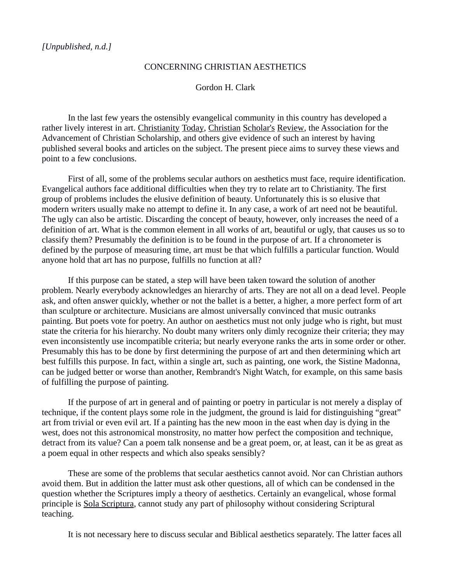## CONCERNING CHRISTIAN AESTHETICS

## Gordon H. Clark

In the last few years the ostensibly evangelical community in this country has developed a rather lively interest in art. Christianity Today, Christian Scholar's Review, the Association for the Advancement of Christian Scholarship, and others give evidence of such an interest by having published several books and articles on the subject. The present piece aims to survey these views and point to a few conclusions.

First of all, some of the problems secular authors on aesthetics must face, require identification. Evangelical authors face additional difficulties when they try to relate art to Christianity. The first group of problems includes the elusive definition of beauty. Unfortunately this is so elusive that modern writers usually make no attempt to define it. In any case, a work of art need not be beautiful. The ugly can also be artistic. Discarding the concept of beauty, however, only increases the need of a definition of art. What is the common element in all works of art, beautiful or ugly, that causes us so to classify them? Presumably the definition is to be found in the purpose of art. If a chronometer is defined by the purpose of measuring time, art must be that which fulfills a particular function. Would anyone hold that art has no purpose, fulfills no function at all?

If this purpose can be stated, a step will have been taken toward the solution of another problem. Nearly everybody acknowledges an hierarchy of arts. They are not all on a dead level. People ask, and often answer quickly, whether or not the ballet is a better, a higher, a more perfect form of art than sculpture or architecture. Musicians are almost universally convinced that music outranks painting. But poets vote for poetry. An author on aesthetics must not only judge who is right, but must state the criteria for his hierarchy. No doubt many writers only dimly recognize their criteria; they may even inconsistently use incompatible criteria; but nearly everyone ranks the arts in some order or other. Presumably this has to be done by first determining the purpose of art and then determining which art best fulfills this purpose. In fact, within a single art, such as painting, one work, the Sistine Madonna, can be judged better or worse than another, Rembrandt's Night Watch, for example, on this same basis of fulfilling the purpose of painting.

If the purpose of art in general and of painting or poetry in particular is not merely a display of technique, if the content plays some role in the judgment, the ground is laid for distinguishing "great" art from trivial or even evil art. If a painting has the new moon in the east when day is dying in the west, does not this astronomical monstrosity, no matter how perfect the composition and technique, detract from its value? Can a poem talk nonsense and be a great poem, or, at least, can it be as great as a poem equal in other respects and which also speaks sensibly?

These are some of the problems that secular aesthetics cannot avoid. Nor can Christian authors avoid them. But in addition the latter must ask other questions, all of which can be condensed in the question whether the Scriptures imply a theory of aesthetics. Certainly an evangelical, whose formal principle is Sola Scriptura, cannot study any part of philosophy without considering Scriptural teaching.

It is not necessary here to discuss secular and Biblical aesthetics separately. The latter faces all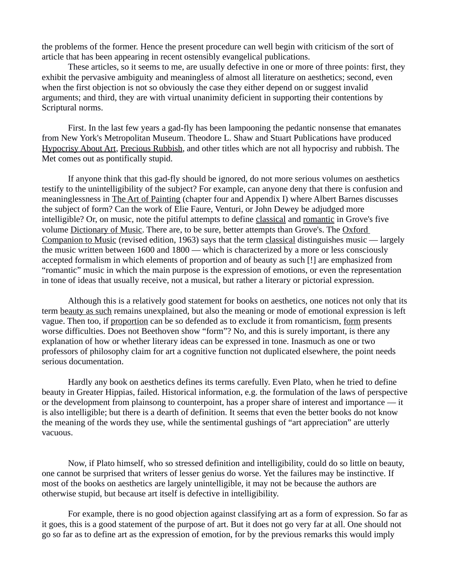the problems of the former. Hence the present procedure can well begin with criticism of the sort of article that has been appearing in recent ostensibly evangelical publications.

These articles, so it seems to me, are usually defective in one or more of three points: first, they exhibit the pervasive ambiguity and meaningless of almost all literature on aesthetics; second, even when the first objection is not so obviously the case they either depend on or suggest invalid arguments; and third, they are with virtual unanimity deficient in supporting their contentions by Scriptural norms.

First. In the last few years a gad-fly has been lampooning the pedantic nonsense that emanates from New York's Metropolitan Museum. Theodore L. Shaw and Stuart Publications have produced Hypocrisy About Art, Precious Rubbish, and other titles which are not all hypocrisy and rubbish. The Met comes out as pontifically stupid.

If anyone think that this gad-fly should be ignored, do not more serious volumes on aesthetics testify to the unintelligibility of the subject? For example, can anyone deny that there is confusion and meaninglessness in The Art of Painting (chapter four and Appendix I) where Albert Barnes discusses the subject of form? Can the work of Elie Faure, Venturi, or John Dewey be adjudged more intelligible? Or, on music, note the pitiful attempts to define classical and romantic in Grove's five volume Dictionary of Music. There are, to be sure, better attempts than Grove's. The Oxford Companion to Music (revised edition, 1963) says that the term classical distinguishes music — largely the music written between 1600 and 1800 — which is characterized by a more or less consciously accepted formalism in which elements of proportion and of beauty as such [!] are emphasized from "romantic" music in which the main purpose is the expression of emotions, or even the representation in tone of ideas that usually receive, not a musical, but rather a literary or pictorial expression.

Although this is a relatively good statement for books on aesthetics, one notices not only that its term beauty as such remains unexplained, but also the meaning or mode of emotional expression is left vague. Then too, if proportion can be so defended as to exclude it from romanticism, form presents worse difficulties. Does not Beethoven show "form"? No, and this is surely important, is there any explanation of how or whether literary ideas can be expressed in tone. Inasmuch as one or two professors of philosophy claim for art a cognitive function not duplicated elsewhere, the point needs serious documentation.

Hardly any book on aesthetics defines its terms carefully. Even Plato, when he tried to define beauty in Greater Hippias, failed. Historical information, e.g. the formulation of the laws of perspective or the development from plainsong to counterpoint, has a proper share of interest and importance — it is also intelligible; but there is a dearth of definition. It seems that even the better books do not know the meaning of the words they use, while the sentimental gushings of "art appreciation" are utterly vacuous.

Now, if Plato himself, who so stressed definition and intelligibility, could do so little on beauty, one cannot be surprised that writers of lesser genius do worse. Yet the failures may be instinctive. If most of the books on aesthetics are largely unintelligible, it may not be because the authors are otherwise stupid, but because art itself is defective in intelligibility.

For example, there is no good objection against classifying art as a form of expression. So far as it goes, this is a good statement of the purpose of art. But it does not go very far at all. One should not go so far as to define art as the expression of emotion, for by the previous remarks this would imply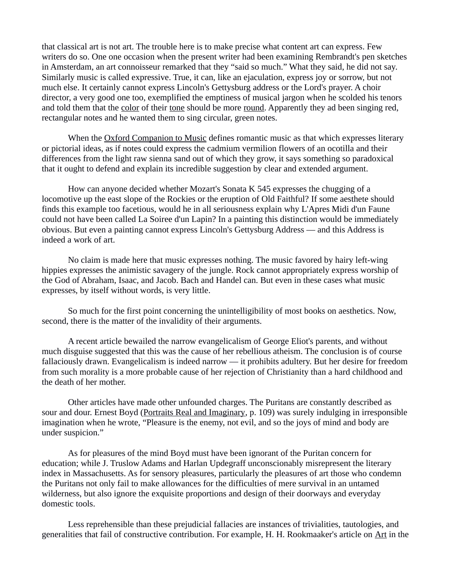that classical art is not art. The trouble here is to make precise what content art can express. Few writers do so. One one occasion when the present writer had been examining Rembrandt's pen sketches in Amsterdam, an art connoisseur remarked that they "said so much." What they said, he did not say. Similarly music is called expressive. True, it can, like an ejaculation, express joy or sorrow, but not much else. It certainly cannot express Lincoln's Gettysburg address or the Lord's prayer. A choir director, a very good one too, exemplified the emptiness of musical jargon when he scolded his tenors and told them that the color of their tone should be more round. Apparently they ad been singing red, rectangular notes and he wanted them to sing circular, green notes.

When the Oxford Companion to Music defines romantic music as that which expresses literary or pictorial ideas, as if notes could express the cadmium vermilion flowers of an ocotilla and their differences from the light raw sienna sand out of which they grow, it says something so paradoxical that it ought to defend and explain its incredible suggestion by clear and extended argument.

How can anyone decided whether Mozart's Sonata K 545 expresses the chugging of a locomotive up the east slope of the Rockies or the eruption of Old Faithful? If some aesthete should finds this example too facetious, would he in all seriousness explain why L'Apres Midi d'un Faune could not have been called La Soiree d'un Lapin? In a painting this distinction would be immediately obvious. But even a painting cannot express Lincoln's Gettysburg Address — and this Address is indeed a work of art.

No claim is made here that music expresses nothing. The music favored by hairy left-wing hippies expresses the animistic savagery of the jungle. Rock cannot appropriately express worship of the God of Abraham, Isaac, and Jacob. Bach and Handel can. But even in these cases what music expresses, by itself without words, is very little.

So much for the first point concerning the unintelligibility of most books on aesthetics. Now, second, there is the matter of the invalidity of their arguments.

A recent article bewailed the narrow evangelicalism of George Eliot's parents, and without much disguise suggested that this was the cause of her rebellious atheism. The conclusion is of course fallaciously drawn. Evangelicalism is indeed narrow — it prohibits adultery. But her desire for freedom from such morality is a more probable cause of her rejection of Christianity than a hard childhood and the death of her mother.

Other articles have made other unfounded charges. The Puritans are constantly described as sour and dour. Ernest Boyd (Portraits Real and Imaginary, p. 109) was surely indulging in irresponsible imagination when he wrote, "Pleasure is the enemy, not evil, and so the joys of mind and body are under suspicion."

As for pleasures of the mind Boyd must have been ignorant of the Puritan concern for education; while J. Truslow Adams and Harlan Updegraff unconscionably misrepresent the literary index in Massachusetts. As for sensory pleasures, particularly the pleasures of art those who condemn the Puritans not only fail to make allowances for the difficulties of mere survival in an untamed wilderness, but also ignore the exquisite proportions and design of their doorways and everyday domestic tools.

Less reprehensible than these prejudicial fallacies are instances of trivialities, tautologies, and generalities that fail of constructive contribution. For example, H. H. Rookmaaker's article on Art in the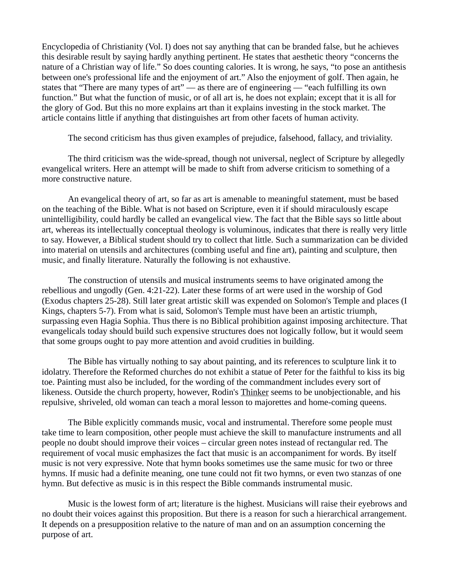Encyclopedia of Christianity (Vol. I) does not say anything that can be branded false, but he achieves this desirable result by saying hardly anything pertinent. He states that aesthetic theory "concerns the nature of a Christian way of life." So does counting calories. It is wrong, he says, "to pose an antithesis between one's professional life and the enjoyment of art." Also the enjoyment of golf. Then again, he states that "There are many types of art" — as there are of engineering — "each fulfilling its own function." But what the function of music, or of all art is, he does not explain; except that it is all for the glory of God. But this no more explains art than it explains investing in the stock market. The article contains little if anything that distinguishes art from other facets of human activity.

The second criticism has thus given examples of prejudice, falsehood, fallacy, and triviality.

The third criticism was the wide-spread, though not universal, neglect of Scripture by allegedly evangelical writers. Here an attempt will be made to shift from adverse criticism to something of a more constructive nature.

An evangelical theory of art, so far as art is amenable to meaningful statement, must be based on the teaching of the Bible. What is not based on Scripture, even it if should miraculously escape unintelligibility, could hardly be called an evangelical view. The fact that the Bible says so little about art, whereas its intellectually conceptual theology is voluminous, indicates that there is really very little to say. However, a Biblical student should try to collect that little. Such a summarization can be divided into material on utensils and architectures (combing useful and fine art), painting and sculpture, then music, and finally literature. Naturally the following is not exhaustive.

The construction of utensils and musical instruments seems to have originated among the rebellious and ungodly (Gen. 4:21-22). Later these forms of art were used in the worship of God (Exodus chapters 25-28). Still later great artistic skill was expended on Solomon's Temple and places (I Kings, chapters 5-7). From what is said, Solomon's Temple must have been an artistic triumph, surpassing even Hagia Sophia. Thus there is no Biblical prohibition against imposing architecture. That evangelicals today should build such expensive structures does not logically follow, but it would seem that some groups ought to pay more attention and avoid crudities in building.

The Bible has virtually nothing to say about painting, and its references to sculpture link it to idolatry. Therefore the Reformed churches do not exhibit a statue of Peter for the faithful to kiss its big toe. Painting must also be included, for the wording of the commandment includes every sort of likeness. Outside the church property, however, Rodin's Thinker seems to be unobjectionable, and his repulsive, shriveled, old woman can teach a moral lesson to majorettes and home-coming queens.

The Bible explicitly commands music, vocal and instrumental. Therefore some people must take time to learn composition, other people must achieve the skill to manufacture instruments and all people no doubt should improve their voices – circular green notes instead of rectangular red. The requirement of vocal music emphasizes the fact that music is an accompaniment for words. By itself music is not very expressive. Note that hymn books sometimes use the same music for two or three hymns. If music had a definite meaning, one tune could not fit two hymns, or even two stanzas of one hymn. But defective as music is in this respect the Bible commands instrumental music.

Music is the lowest form of art; literature is the highest. Musicians will raise their eyebrows and no doubt their voices against this proposition. But there is a reason for such a hierarchical arrangement. It depends on a presupposition relative to the nature of man and on an assumption concerning the purpose of art.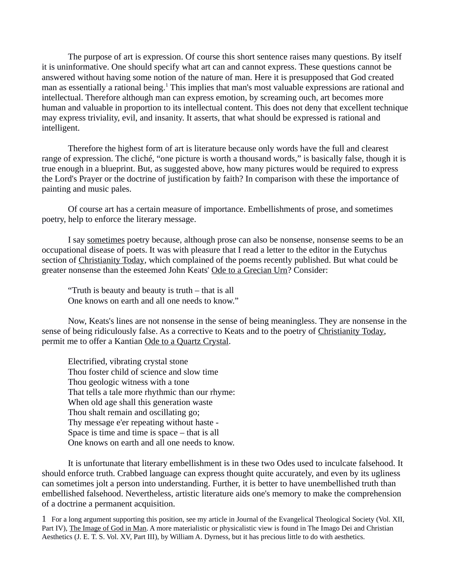The purpose of art is expression. Of course this short sentence raises many questions. By itself it is uninformative. One should specify what art can and cannot express. These questions cannot be answered without having some notion of the nature of man. Here it is presupposed that God created man as essentially a rational being.<sup>[1](#page-4-0)</sup> This implies that man's most valuable expressions are rational and intellectual. Therefore although man can express emotion, by screaming ouch, art becomes more human and valuable in proportion to its intellectual content. This does not deny that excellent technique may express triviality, evil, and insanity. It asserts, that what should be expressed is rational and intelligent.

Therefore the highest form of art is literature because only words have the full and clearest range of expression. The cliché, "one picture is worth a thousand words," is basically false, though it is true enough in a blueprint. But, as suggested above, how many pictures would be required to express the Lord's Prayer or the doctrine of justification by faith? In comparison with these the importance of painting and music pales.

Of course art has a certain measure of importance. Embellishments of prose, and sometimes poetry, help to enforce the literary message.

I say sometimes poetry because, although prose can also be nonsense, nonsense seems to be an occupational disease of poets. It was with pleasure that I read a letter to the editor in the Eutychus section of Christianity Today, which complained of the poems recently published. But what could be greater nonsense than the esteemed John Keats' Ode to a Grecian Urn? Consider:

"Truth is beauty and beauty is truth – that is all One knows on earth and all one needs to know."

Now, Keats's lines are not nonsense in the sense of being meaningless. They are nonsense in the sense of being ridiculously false. As a corrective to Keats and to the poetry of Christianity Today, permit me to offer a Kantian Ode to a Quartz Crystal.

Electrified, vibrating crystal stone Thou foster child of science and slow time Thou geologic witness with a tone That tells a tale more rhythmic than our rhyme: When old age shall this generation waste Thou shalt remain and oscillating go; Thy message e'er repeating without haste - Space is time and time is space – that is all One knows on earth and all one needs to know.

It is unfortunate that literary embellishment is in these two Odes used to inculcate falsehood. It should enforce truth. Crabbed language can express thought quite accurately, and even by its ugliness can sometimes jolt a person into understanding. Further, it is better to have unembellished truth than embellished falsehood. Nevertheless, artistic literature aids one's memory to make the comprehension of a doctrine a permanent acquisition.

<span id="page-4-0"></span>1- For a long argument supporting this position, see my article in Journal of the Evangelical Theological Society (Vol. XII, Part IV), The Image of God in Man. A more materialistic or physicalistic view is found in The Imago Dei and Christian Aesthetics (J. E. T. S. Vol. XV, Part III), by William A. Dyrness, but it has precious little to do with aesthetics.